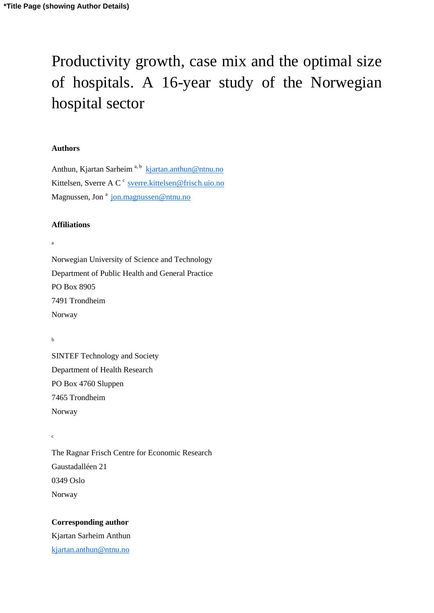# Productivity growth, case mix and the optimal size of hospitals. A 16-year study of the Norwegian hospital sector

#### **Authors**

Anthun, Kjartan Sarheim<sup>a, b</sup> kjartan.anthun@ntnu.no Kittelsen, Sverre A C<sup>c</sup> [sverre.kittelsen@frisch.uio.no](mailto:sverre.kittelsen@frisch.uio.no) Magnussen, Jon<sup>a</sup> jon.magnussen@ntnu.no

#### **Affiliations**

a

Norwegian University of Science and Technology Department of Public Health and General Practice PO Box 8905 7491 Trondheim Norway

b

c

SINTEF Technology and Society Department of Health Research PO Box 4760 Sluppen 7465 Trondheim Norway

The Ragnar Frisch Centre for Economic Research Gaustadalléen 21 0349 Oslo Norway

#### **Corresponding author**

Kjartan Sarheim Anthun [kjartan.anthun@ntnu.no](mailto:kjartan.anthun@ntnu.no)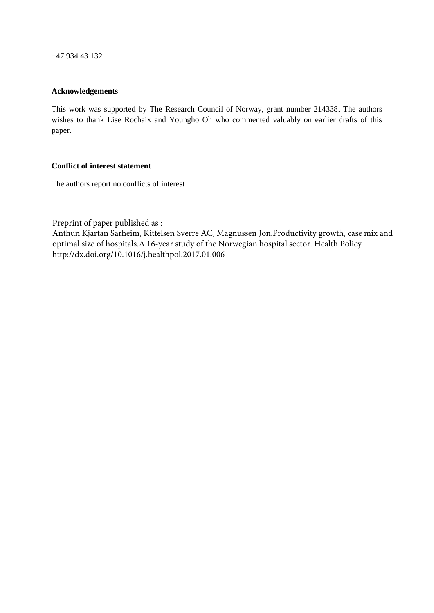+47 934 43 132

#### **Acknowledgements**

This work was supported by The Research Council of Norway, grant number 214338. The authors wishes to thank Lise Rochaix and Youngho Oh who commented valuably on earlier drafts of this paper.

#### **Conflict of interest statement**

The authors report no conflicts of interest

Preprint of paper published as :

Anthun Kjartan Sarheim, Kittelsen Sverre AC, Magnussen Jon.Productivity growth, case mix and optimal size of hospitals.A 16-year study of the Norwegian hospital sector. Health Policy http://dx.doi.org/10.1016/j.healthpol.2017.01.006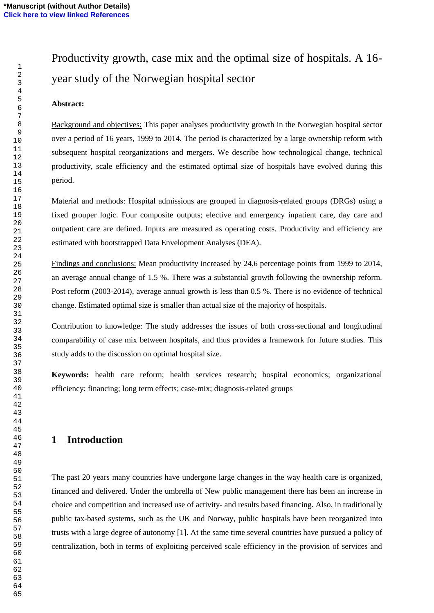# Productivity growth, case mix and the optimal size of hospitals. A 16 year study of the Norwegian hospital sector

#### **Abstract:**

Background and objectives: This paper analyses productivity growth in the Norwegian hospital sector over a period of 16 years, 1999 to 2014. The period is characterized by a large ownership reform with subsequent hospital reorganizations and mergers. We describe how technological change, technical productivity, scale efficiency and the estimated optimal size of hospitals have evolved during this period.

Material and methods: Hospital admissions are grouped in diagnosis-related groups (DRGs) using a fixed grouper logic. Four composite outputs; elective and emergency inpatient care, day care and outpatient care are defined. Inputs are measured as operating costs. Productivity and efficiency are estimated with bootstrapped Data Envelopment Analyses (DEA).

Findings and conclusions: Mean productivity increased by 24.6 percentage points from 1999 to 2014, an average annual change of 1.5 %. There was a substantial growth following the ownership reform. Post reform (2003-2014), average annual growth is less than 0.5 %. There is no evidence of technical change. Estimated optimal size is smaller than actual size of the majority of hospitals.

Contribution to knowledge: The study addresses the issues of both cross-sectional and longitudinal comparability of case mix between hospitals, and thus provides a framework for future studies. This study adds to the discussion on optimal hospital size.

**Keywords:** health care reform; health services research; hospital economics; organizational efficiency; financing; long term effects; case-mix; diagnosis-related groups

# **Introduction**

The past 20 years many countries have undergone large changes in the way health care is organized, financed and delivered. Under the umbrella of New public management there has been an increase in choice and competition and increased use of activity- and results based financing. Also, in traditionally public tax-based systems, such as the UK and Norway, public hospitals have been reorganized into trusts with a large degree of autonomy [1]. At the same time several countries have pursued a policy of centralization, both in terms of exploiting perceived scale efficiency in the provision of services and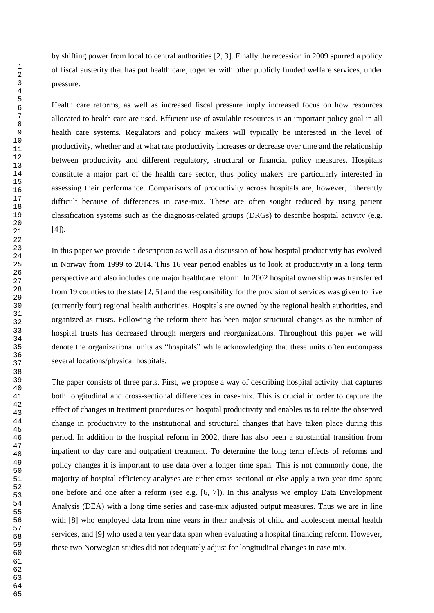by shifting power from local to central authorities [2, 3]. Finally the recession in 2009 spurred a policy of fiscal austerity that has put health care, together with other publicly funded welfare services, under pressure.

Health care reforms, as well as increased fiscal pressure imply increased focus on how resources allocated to health care are used. Efficient use of available resources is an important policy goal in all health care systems. Regulators and policy makers will typically be interested in the level of productivity, whether and at what rate productivity increases or decrease over time and the relationship between productivity and different regulatory, structural or financial policy measures. Hospitals constitute a major part of the health care sector, thus policy makers are particularly interested in assessing their performance. Comparisons of productivity across hospitals are, however, inherently difficult because of differences in case-mix. These are often sought reduced by using patient classification systems such as the diagnosis-related groups (DRGs) to describe hospital activity (e.g.  $[4]$ ).

In this paper we provide a description as well as a discussion of how hospital productivity has evolved in Norway from 1999 to 2014. This 16 year period enables us to look at productivity in a long term perspective and also includes one major healthcare reform. In 2002 hospital ownership was transferred from 19 counties to the state [2, 5] and the responsibility for the provision of services was given to five (currently four) regional health authorities. Hospitals are owned by the regional health authorities, and organized as trusts. Following the reform there has been major structural changes as the number of hospital trusts has decreased through mergers and reorganizations. Throughout this paper we will denote the organizational units as "hospitals" while acknowledging that these units often encompass several locations/physical hospitals.

The paper consists of three parts. First, we propose a way of describing hospital activity that captures both longitudinal and cross-sectional differences in case-mix. This is crucial in order to capture the effect of changes in treatment procedures on hospital productivity and enables us to relate the observed change in productivity to the institutional and structural changes that have taken place during this period. In addition to the hospital reform in 2002, there has also been a substantial transition from inpatient to day care and outpatient treatment. To determine the long term effects of reforms and policy changes it is important to use data over a longer time span. This is not commonly done, the majority of hospital efficiency analyses are either cross sectional or else apply a two year time span; one before and one after a reform (see e.g. [6, 7]). In this analysis we employ Data Envelopment Analysis (DEA) with a long time series and case-mix adjusted output measures. Thus we are in line with [8] who employed data from nine years in their analysis of child and adolescent mental health services, and [9] who used a ten year data span when evaluating a hospital financing reform. However, these two Norwegian studies did not adequately adjust for longitudinal changes in case mix.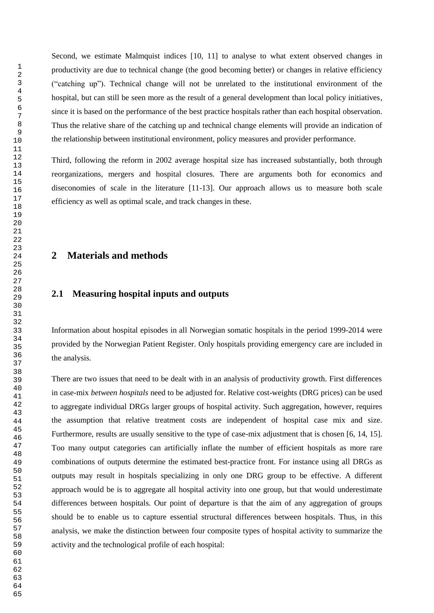Second, we estimate Malmquist indices [10, 11] to analyse to what extent observed changes in productivity are due to technical change (the good becoming better) or changes in relative efficiency ("catching up"). Technical change will not be unrelated to the institutional environment of the hospital, but can still be seen more as the result of a general development than local policy initiatives, since it is based on the performance of the best practice hospitals rather than each hospital observation. Thus the relative share of the catching up and technical change elements will provide an indication of the relationship between institutional environment, policy measures and provider performance.

Third, following the reform in 2002 average hospital size has increased substantially, both through reorganizations, mergers and hospital closures. There are arguments both for economics and diseconomies of scale in the literature [11-13]. Our approach allows us to measure both scale efficiency as well as optimal scale, and track changes in these.

# **Materials and methods**

#### **2.1 Measuring hospital inputs and outputs**

Information about hospital episodes in all Norwegian somatic hospitals in the period 1999-2014 were provided by the Norwegian Patient Register. Only hospitals providing emergency care are included in the analysis.

There are two issues that need to be dealt with in an analysis of productivity growth. First differences in case-mix *between hospitals* need to be adjusted for. Relative cost-weights (DRG prices) can be used to aggregate individual DRGs larger groups of hospital activity. Such aggregation, however, requires the assumption that relative treatment costs are independent of hospital case mix and size. Furthermore, results are usually sensitive to the type of case-mix adjustment that is chosen [6, 14, 15]. Too many output categories can artificially inflate the number of efficient hospitals as more rare combinations of outputs determine the estimated best-practice front. For instance using all DRGs as outputs may result in hospitals specializing in only one DRG group to be effective. A different approach would be is to aggregate all hospital activity into one group, but that would underestimate differences between hospitals. Our point of departure is that the aim of any aggregation of groups should be to enable us to capture essential structural differences between hospitals. Thus, in this analysis, we make the distinction between four composite types of hospital activity to summarize the activity and the technological profile of each hospital: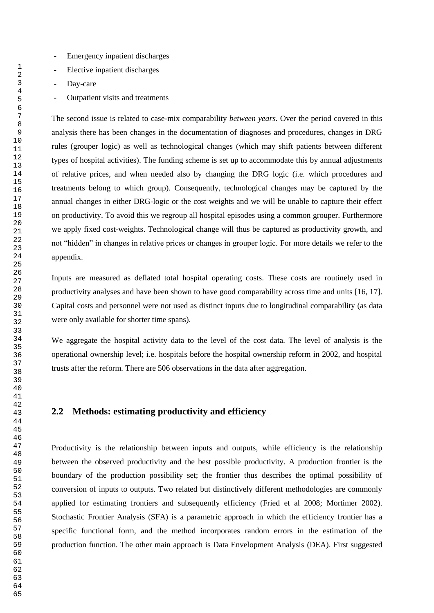- Emergency inpatient discharges
- Elective inpatient discharges
- Day-care
- Outpatient visits and treatments

The second issue is related to case-mix comparability *between years.* Over the period covered in this analysis there has been changes in the documentation of diagnoses and procedures, changes in DRG rules (grouper logic) as well as technological changes (which may shift patients between different types of hospital activities). The funding scheme is set up to accommodate this by annual adjustments of relative prices, and when needed also by changing the DRG logic (i.e. which procedures and treatments belong to which group). Consequently, technological changes may be captured by the annual changes in either DRG-logic or the cost weights and we will be unable to capture their effect on productivity. To avoid this we regroup all hospital episodes using a common grouper. Furthermore we apply fixed cost-weights. Technological change will thus be captured as productivity growth, and not "hidden" in changes in relative prices or changes in grouper logic. For more details we refer to the appendix.

Inputs are measured as deflated total hospital operating costs. These costs are routinely used in productivity analyses and have been shown to have good comparability across time and units [16, 17]. Capital costs and personnel were not used as distinct inputs due to longitudinal comparability (as data were only available for shorter time spans).

We aggregate the hospital activity data to the level of the cost data. The level of analysis is the operational ownership level; i.e. hospitals before the hospital ownership reform in 2002, and hospital trusts after the reform. There are 506 observations in the data after aggregation.

#### **2.2 Methods: estimating productivity and efficiency**

Productivity is the relationship between inputs and outputs, while efficiency is the relationship between the observed productivity and the best possible productivity. A production frontier is the boundary of the production possibility set; the frontier thus describes the optimal possibility of conversion of inputs to outputs. Two related but distinctively different methodologies are commonly applied for estimating frontiers and subsequently efficiency (Fried et al 2008; Mortimer 2002). Stochastic Frontier Analysis (SFA) is a parametric approach in which the efficiency frontier has a specific functional form, and the method incorporates random errors in the estimation of the production function. The other main approach is Data Envelopment Analysis (DEA). First suggested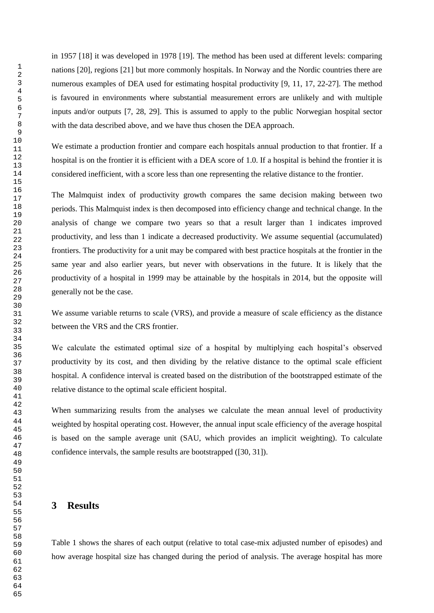in 1957 [18] it was developed in 1978 [19]. The method has been used at different levels: comparing nations [20], regions [21] but more commonly hospitals. In Norway and the Nordic countries there are numerous examples of DEA used for estimating hospital productivity [9, 11, 17, 22-27]. The method is favoured in environments where substantial measurement errors are unlikely and with multiple inputs and/or outputs [7, 28, 29]. This is assumed to apply to the public Norwegian hospital sector with the data described above, and we have thus chosen the DEA approach.

We estimate a production frontier and compare each hospitals annual production to that frontier. If a hospital is on the frontier it is efficient with a DEA score of 1.0. If a hospital is behind the frontier it is considered inefficient, with a score less than one representing the relative distance to the frontier.

The Malmquist index of productivity growth compares the same decision making between two periods. This Malmquist index is then decomposed into efficiency change and technical change. In the analysis of change we compare two years so that a result larger than 1 indicates improved productivity, and less than 1 indicate a decreased productivity. We assume sequential (accumulated) frontiers. The productivity for a unit may be compared with best practice hospitals at the frontier in the same year and also earlier years, but never with observations in the future. It is likely that the productivity of a hospital in 1999 may be attainable by the hospitals in 2014, but the opposite will generally not be the case.

We assume variable returns to scale (VRS), and provide a measure of scale efficiency as the distance between the VRS and the CRS frontier.

We calculate the estimated optimal size of a hospital by multiplying each hospital's observed productivity by its cost, and then dividing by the relative distance to the optimal scale efficient hospital. A confidence interval is created based on the distribution of the bootstrapped estimate of the relative distance to the optimal scale efficient hospital.

When summarizing results from the analyses we calculate the mean annual level of productivity weighted by hospital operating cost. However, the annual input scale efficiency of the average hospital is based on the sample average unit (SAU, which provides an implicit weighting). To calculate confidence intervals, the sample results are bootstrapped ([30, 31]).

## **Results**

Table 1 shows the shares of each output (relative to total case-mix adjusted number of episodes) and how average hospital size has changed during the period of analysis. The average hospital has more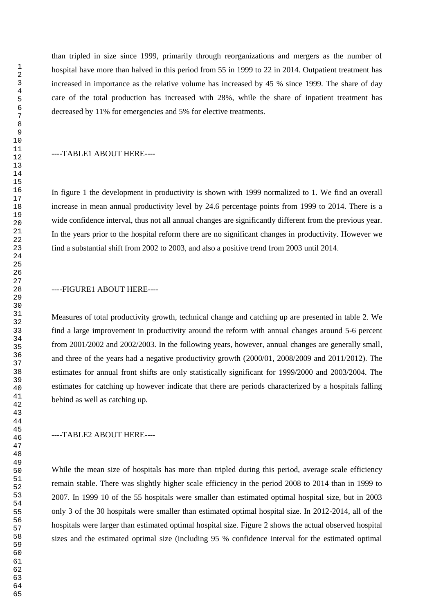than tripled in size since 1999, primarily through reorganizations and mergers as the number of hospital have more than halved in this period from 55 in 1999 to 22 in 2014. Outpatient treatment has increased in importance as the relative volume has increased by 45 % since 1999. The share of day care of the total production has increased with 28%, while the share of inpatient treatment has decreased by 11% for emergencies and 5% for elective treatments.

#### ----TABLE1 ABOUT HERE----

In figure 1 the development in productivity is shown with 1999 normalized to 1. We find an overall increase in mean annual productivity level by 24.6 percentage points from 1999 to 2014. There is a wide confidence interval, thus not all annual changes are significantly different from the previous year. In the years prior to the hospital reform there are no significant changes in productivity. However we find a substantial shift from 2002 to 2003, and also a positive trend from 2003 until 2014.

#### ----FIGURE1 ABOUT HERE----

Measures of total productivity growth, technical change and catching up are presented in table 2. We find a large improvement in productivity around the reform with annual changes around 5-6 percent from 2001/2002 and 2002/2003. In the following years, however, annual changes are generally small, and three of the years had a negative productivity growth (2000/01, 2008/2009 and 2011/2012). The estimates for annual front shifts are only statistically significant for 1999/2000 and 2003/2004. The estimates for catching up however indicate that there are periods characterized by a hospitals falling behind as well as catching up.

#### ----TABLE2 ABOUT HERE----

While the mean size of hospitals has more than tripled during this period, average scale efficiency remain stable. There was slightly higher scale efficiency in the period 2008 to 2014 than in 1999 to 2007. In 1999 10 of the 55 hospitals were smaller than estimated optimal hospital size, but in 2003 only 3 of the 30 hospitals were smaller than estimated optimal hospital size. In 2012-2014, all of the hospitals were larger than estimated optimal hospital size. Figure 2 shows the actual observed hospital sizes and the estimated optimal size (including 95 % confidence interval for the estimated optimal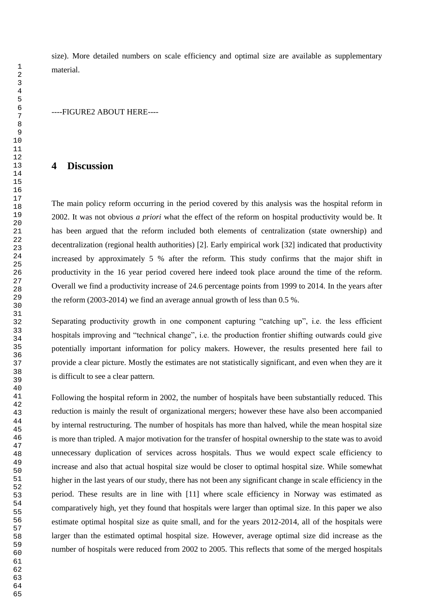size). More detailed numbers on scale efficiency and optimal size are available as supplementary material.

----FIGURE2 ABOUT HERE----

#### **Discussion**

The main policy reform occurring in the period covered by this analysis was the hospital reform in 2002. It was not obvious *a priori* what the effect of the reform on hospital productivity would be. It has been argued that the reform included both elements of centralization (state ownership) and decentralization (regional health authorities) [2]. Early empirical work [32] indicated that productivity increased by approximately 5 % after the reform. This study confirms that the major shift in productivity in the 16 year period covered here indeed took place around the time of the reform. Overall we find a productivity increase of 24.6 percentage points from 1999 to 2014. In the years after the reform (2003-2014) we find an average annual growth of less than 0.5 %.

Separating productivity growth in one component capturing "catching up", i.e. the less efficient hospitals improving and "technical change", i.e. the production frontier shifting outwards could give potentially important information for policy makers. However, the results presented here fail to provide a clear picture. Mostly the estimates are not statistically significant, and even when they are it is difficult to see a clear pattern.

Following the hospital reform in 2002, the number of hospitals have been substantially reduced. This reduction is mainly the result of organizational mergers; however these have also been accompanied by internal restructuring. The number of hospitals has more than halved, while the mean hospital size is more than tripled. A major motivation for the transfer of hospital ownership to the state was to avoid unnecessary duplication of services across hospitals. Thus we would expect scale efficiency to increase and also that actual hospital size would be closer to optimal hospital size. While somewhat higher in the last years of our study, there has not been any significant change in scale efficiency in the period. These results are in line with [11] where scale efficiency in Norway was estimated as comparatively high, yet they found that hospitals were larger than optimal size. In this paper we also estimate optimal hospital size as quite small, and for the years 2012-2014, all of the hospitals were larger than the estimated optimal hospital size. However, average optimal size did increase as the number of hospitals were reduced from 2002 to 2005. This reflects that some of the merged hospitals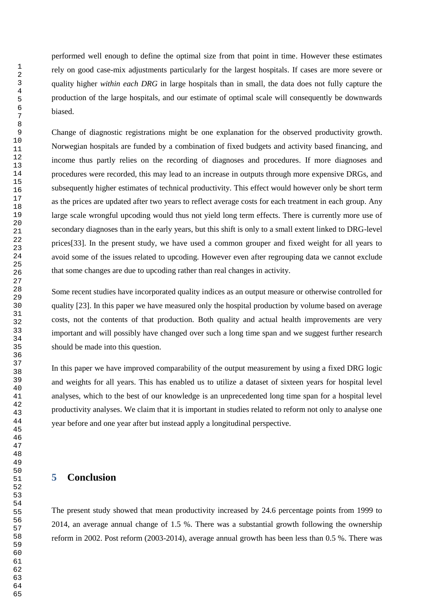performed well enough to define the optimal size from that point in time. However these estimates rely on good case-mix adjustments particularly for the largest hospitals. If cases are more severe or quality higher *within each DRG* in large hospitals than in small, the data does not fully capture the production of the large hospitals, and our estimate of optimal scale will consequently be downwards biased.

Change of diagnostic registrations might be one explanation for the observed productivity growth. Norwegian hospitals are funded by a combination of fixed budgets and activity based financing, and income thus partly relies on the recording of diagnoses and procedures. If more diagnoses and procedures were recorded, this may lead to an increase in outputs through more expensive DRGs, and subsequently higher estimates of technical productivity. This effect would however only be short term as the prices are updated after two years to reflect average costs for each treatment in each group. Any large scale wrongful upcoding would thus not yield long term effects. There is currently more use of secondary diagnoses than in the early years, but this shift is only to a small extent linked to DRG-level prices[33]. In the present study, we have used a common grouper and fixed weight for all years to avoid some of the issues related to upcoding. However even after regrouping data we cannot exclude that some changes are due to upcoding rather than real changes in activity.

Some recent studies have incorporated quality indices as an output measure or otherwise controlled for quality [23]. In this paper we have measured only the hospital production by volume based on average costs, not the contents of that production. Both quality and actual health improvements are very important and will possibly have changed over such a long time span and we suggest further research should be made into this question.

In this paper we have improved comparability of the output measurement by using a fixed DRG logic and weights for all years. This has enabled us to utilize a dataset of sixteen years for hospital level analyses, which to the best of our knowledge is an unprecedented long time span for a hospital level productivity analyses. We claim that it is important in studies related to reform not only to analyse one year before and one year after but instead apply a longitudinal perspective.

## **Conclusion**

The present study showed that mean productivity increased by 24.6 percentage points from 1999 to 2014, an average annual change of 1.5 %. There was a substantial growth following the ownership reform in 2002. Post reform (2003-2014), average annual growth has been less than 0.5 %. There was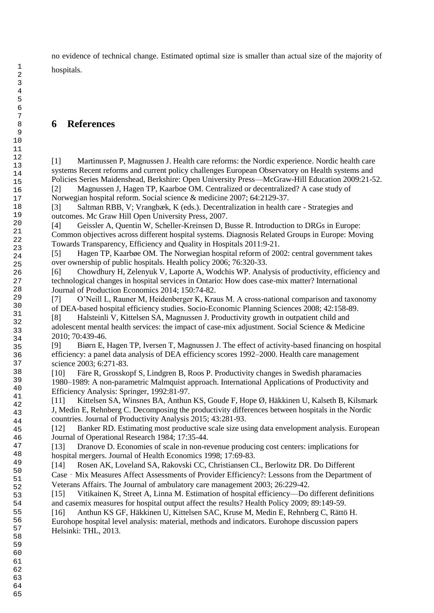no evidence of technical change. Estimated optimal size is smaller than actual size of the majority of hospitals.

# **References**

[1] Martinussen P, Magnussen J. Health care reforms: the Nordic experience. Nordic health care systems Recent reforms and current policy challenges European Observatory on Health systems and Policies Series Maidenshead, Berkshire: Open University Press—McGraw-Hill Education 2009:21-52. [2] Magnussen J, Hagen TP, Kaarboe OM. Centralized or decentralized? A case study of

Norwegian hospital reform. Social science & medicine 2007; 64:2129-37.

[3] Saltman RBB, V; Vrangbæk, K (eds.). Decentralization in health care - Strategies and outcomes. Mc Graw Hill Open University Press, 2007.

[4] Geissler A, Quentin W, Scheller-Kreinsen D, Busse R. Introduction to DRGs in Europe: Common objectives across different hospital systems. Diagnosis Related Groups in Europe: Moving Towards Transparency, Efficiency and Quality in Hospitals 2011:9-21.

[5] Hagen TP, Kaarbøe OM. The Norwegian hospital reform of 2002: central government takes over ownership of public hospitals. Health policy 2006; 76:320-33.

[6] Chowdhury H, Zelenyuk V, Laporte A, Wodchis WP. Analysis of productivity, efficiency and technological changes in hospital services in Ontario: How does case-mix matter? International Journal of Production Economics 2014; 150:74-82.

[7] O'Neill L, Rauner M, Heidenberger K, Kraus M. A cross-national comparison and taxonomy of DEA-based hospital efficiency studies. Socio-Economic Planning Sciences 2008; 42:158-89.

[8] Halsteinli V, Kittelsen SA, Magnussen J. Productivity growth in outpatient child and adolescent mental health services: the impact of case-mix adjustment. Social Science & Medicine 2010; 70:439-46.

[9] Biørn E, Hagen TP, Iversen T, Magnussen J. The effect of activity-based financing on hospital efficiency: a panel data analysis of DEA efficiency scores 1992–2000. Health care management science 2003; 6:271-83.

[10] Färe R, Grosskopf S, Lindgren B, Roos P. Productivity changes in Swedish pharamacies 1980–1989: A non-parametric Malmquist approach. International Applications of Productivity and Efficiency Analysis: Springer, 1992:81-97.

[11] Kittelsen SA, Winsnes BA, Anthun KS, Goude F, Hope Ø, Häkkinen U, Kalseth B, Kilsmark J, Medin E, Rehnberg C. Decomposing the productivity differences between hospitals in the Nordic countries. Journal of Productivity Analysis 2015; 43:281-93.

[12] Banker RD. Estimating most productive scale size using data envelopment analysis. European Journal of Operational Research 1984; 17:35-44.

[13] Dranove D. Economies of scale in non-revenue producing cost centers: implications for hospital mergers. Journal of Health Economics 1998; 17:69-83.

[14] Rosen AK, Loveland SA, Rakovski CC, Christiansen CL, Berlowitz DR. Do Different Case‐Mix Measures Affect Assessments of Provider Efficiency?: Lessons from the Department of Veterans Affairs. The Journal of ambulatory care management 2003; 26:229-42.

[15] Vitikainen K, Street A, Linna M. Estimation of hospital efficiency—Do different definitions and casemix measures for hospital output affect the results? Health Policy 2009; 89:149-59.

[16] Anthun KS GF, Häkkinen U, Kittelsen SAC, Kruse M, Medin E, Rehnberg C, Rättö H. Eurohope hospital level analysis: material, methods and indicators. Eurohope discussion papers Helsinki: THL, 2013.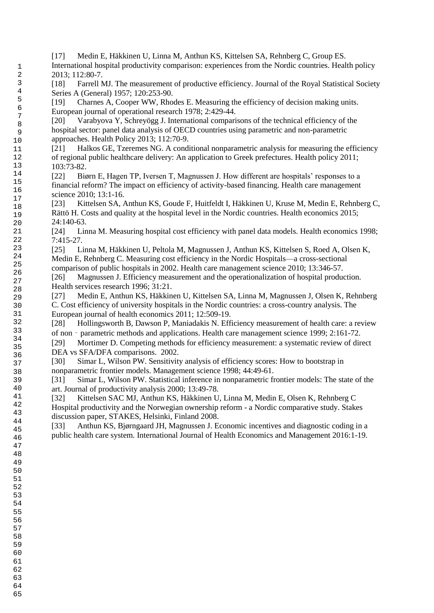- [17] Medin E, Häkkinen U, Linna M, Anthun KS, Kittelsen SA, Rehnberg C, Group ES. International hospital productivity comparison: experiences from the Nordic countries. Health policy 2013; 112:80-7.
	- [18] Farrell MJ. The measurement of productive efficiency. Journal of the Royal Statistical Society Series A (General) 1957; 120:253-90.

[19] Charnes A, Cooper WW, Rhodes E. Measuring the efficiency of decision making units. European journal of operational research 1978; 2:429-44.

[20] Varabyova Y, Schreyögg J. International comparisons of the technical efficiency of the hospital sector: panel data analysis of OECD countries using parametric and non-parametric approaches. Health Policy 2013; 112:70-9.

[21] Halkos GE, Tzeremes NG. A conditional nonparametric analysis for measuring the efficiency of regional public healthcare delivery: An application to Greek prefectures. Health policy 2011; 103:73-82.

[22] Biørn E, Hagen TP, Iversen T, Magnussen J. How different are hospitals' responses to a financial reform? The impact on efficiency of activity-based financing. Health care management science 2010; 13:1-16.

[23] Kittelsen SA, Anthun KS, Goude F, Huitfeldt I, Häkkinen U, Kruse M, Medin E, Rehnberg C, Rättö H. Costs and quality at the hospital level in the Nordic countries. Health economics 2015; 24:140-63.

[24] Linna M. Measuring hospital cost efficiency with panel data models. Health economics 1998; 7:415-27.

[25] Linna M, Häkkinen U, Peltola M, Magnussen J, Anthun KS, Kittelsen S, Roed A, Olsen K, Medin E, Rehnberg C. Measuring cost efficiency in the Nordic Hospitals—a cross-sectional comparison of public hospitals in 2002. Health care management science 2010; 13:346-57.

[26] Magnussen J. Efficiency measurement and the operationalization of hospital production. Health services research 1996; 31:21.

[27] Medin E, Anthun KS, Häkkinen U, Kittelsen SA, Linna M, Magnussen J, Olsen K, Rehnberg C. Cost efficiency of university hospitals in the Nordic countries: a cross-country analysis. The European journal of health economics 2011; 12:509-19.

[28] Hollingsworth B, Dawson P, Maniadakis N. Efficiency measurement of health care: a review of non - parametric methods and applications. Health care management science 1999; 2:161-72.

[29] Mortimer D. Competing methods for efficiency measurement: a systematic review of direct DEA vs SFA/DFA comparisons. 2002.

[30] Simar L, Wilson PW. Sensitivity analysis of efficiency scores: How to bootstrap in nonparametric frontier models. Management science 1998; 44:49-61.

[31] Simar L, Wilson PW. Statistical inference in nonparametric frontier models: The state of the art. Journal of productivity analysis 2000; 13:49-78.

[32] Kittelsen SAC MJ, Anthun KS, Häkkinen U, Linna M, Medin E, Olsen K, Rehnberg C Hospital productivity and the Norwegian ownership reform - a Nordic comparative study. Stakes discussion paper, STAKES, Helsinki, Finland 2008.

[33] Anthun KS, Bjørngaard JH, Magnussen J. Economic incentives and diagnostic coding in a public health care system. International Journal of Health Economics and Management 2016:1-19.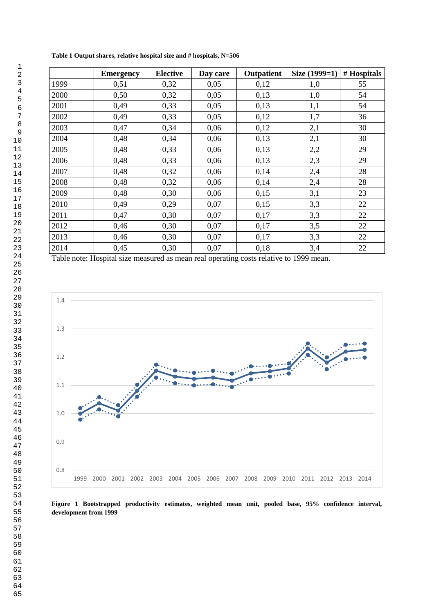|      | <b>Emergency</b> | <b>Elective</b> | Day care | Outpatient | Size (1999=1) | # Hospitals |
|------|------------------|-----------------|----------|------------|---------------|-------------|
| 1999 | 0,51             | 0,32            | 0,05     | 0,12       | 1,0           | 55          |
| 2000 | 0,50             | 0,32            | 0,05     | 0,13       | 1,0           | 54          |
| 2001 | 0,49             | 0,33            | 0,05     | 0,13       | 1,1           | 54          |
| 2002 | 0,49             | 0,33            | 0,05     | 0,12       | 1,7           | 36          |
| 2003 | 0,47             | 0,34            | 0,06     | 0,12       | 2,1           | 30          |
| 2004 | 0,48             | 0,34            | 0,06     | 0,13       | 2,1           | 30          |
| 2005 | 0,48             | 0,33            | 0,06     | 0,13       | 2,2           | 29          |
| 2006 | 0,48             | 0,33            | 0,06     | 0,13       | 2,3           | 29          |
| 2007 | 0,48             | 0,32            | 0,06     | 0,14       | 2,4           | 28          |
| 2008 | 0,48             | 0,32            | 0,06     | 0,14       | 2,4           | 28          |
| 2009 | 0,48             | 0,30            | 0,06     | 0,15       | 3,1           | 23          |
| 2010 | 0,49             | 0,29            | 0,07     | 0,15       | 3,3           | 22          |
| 2011 | 0,47             | 0,30            | 0,07     | 0,17       | 3,3           | 22          |
| 2012 | 0,46             | 0,30            | 0,07     | 0,17       | 3,5           | 22          |
| 2013 | 0,46             | 0,30            | 0,07     | 0,17       | 3,3           | 22          |
| 2014 | 0,45             | 0,30            | 0,07     | 0,18       | 3,4           | 22          |

**Table 1 Output shares, relative hospital size and # hospitals, N=506**

Table note: Hospital size measured as mean real operating costs relative to 1999 mean.



**Figure 1 Bootstrapped productivity estimates, weighted mean unit, pooled base, 95% confidence interval, development from 1999**